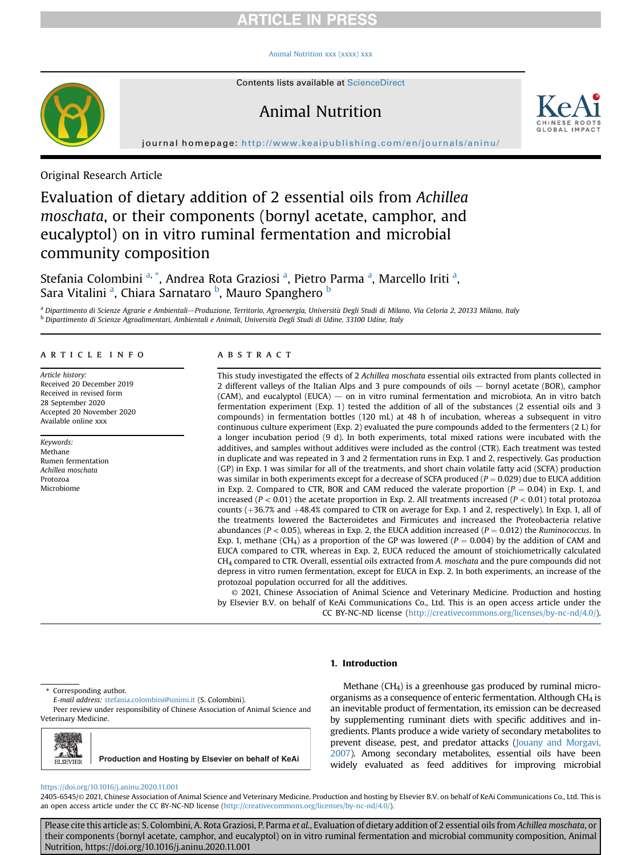# **ARTICLE IN PRESS**

#### [Animal Nutrition xxx \(xxxx\) xxx](https://doi.org/10.1016/j.aninu.2020.11.001)

# Animal Nutrition



journal homepage: <http://www.keaipublishing.com/en/journals/aninu/>

Original Research Article

# Evaluation of dietary addition of 2 essential oils from Achillea moschata, or their components (bornyl acetate, camphor, and eucalyptol) on in vitro ruminal fermentation and microbial community composition

Stefania Colombini <sup>[a,](#page-0-0) [\\*](#page-0-1)</sup>, Andre[a](#page-0-0) Rota Graziosi <sup>a</sup>, Pietro Parma <sup>a</sup>, Marcello Iriti <sup>a</sup>, S[a](#page-0-0)ra Vitalini <sup>a</sup>, Chiara Sarnataro <sup>[b](#page-0-2)</sup>, Mauro Spanghero <sup>b</sup>

<span id="page-0-2"></span><span id="page-0-0"></span><sup>a</sup> Dipartimento di Scienze Agrarie e Ambientali—Produzione, Territorio, Agroenergia, Università Degli Studi di Milano, Via Celoria 2, 20133 Milano, Italy <sup>b</sup> Dipartimento di Scienze Agroalimentari, Ambientali e Animali, Università Degli Studi di Udine, 33100 Udine, Italy

#### article info

Article history: Received 20 December 2019 Received in revised form 28 September 2020 Accepted 20 November 2020 Available online xxx

Keywords: Methane Rumen fermentation Achillea moschata Protozoa Microbiome

#### **ABSTRACT**

This study investigated the effects of 2 Achillea moschata essential oils extracted from plants collected in 2 different valleys of the Italian Alps and 3 pure compounds of oils — bornyl acetate (BOR), camphor  $(CAM)$ , and eucalyptol  $(EUCA)$  on in vitro ruminal fermentation and microbiota. An in vitro batch fermentation experiment (Exp. 1) tested the addition of all of the substances (2 essential oils and 3 compounds) in fermentation bottles (120 mL) at 48 h of incubation, whereas a subsequent in vitro continuous culture experiment (Exp. 2) evaluated the pure compounds added to the fermenters (2 L) for a longer incubation period (9 d). In both experiments, total mixed rations were incubated with the additives, and samples without additives were included as the control (CTR). Each treatment was tested in duplicate and was repeated in 3 and 2 fermentation runs in Exp. 1 and 2, respectively. Gas production (GP) in Exp. 1 was similar for all of the treatments, and short chain volatile fatty acid (SCFA) production was similar in both experiments except for a decrease of SCFA produced ( $P = 0.029$ ) due to EUCA addition in Exp. 2. Compared to CTR, BOR and CAM reduced the valerate proportion ( $P = 0.04$ ) in Exp. 1, and increased ( $P < 0.01$ ) the acetate proportion in Exp. 2. All treatments increased ( $P < 0.01$ ) total protozoa counts (+36.7% and +48.4% compared to CTR on average for Exp. 1 and 2, respectively). In Exp. 1, all of the treatments lowered the Bacteroidetes and Firmicutes and increased the Proteobacteria relative abundances ( $P < 0.05$ ), whereas in Exp. 2, the EUCA addition increased ( $P = 0.012$ ) the Ruminococcus. In Exp. 1, methane (CH<sub>4</sub>) as a proportion of the GP was lowered ( $P = 0.004$ ) by the addition of CAM and EUCA compared to CTR, whereas in Exp. 2, EUCA reduced the amount of stoichiometrically calculated CH4 compared to CTR. Overall, essential oils extracted from A. moschata and the pure compounds did not depress in vitro rumen fermentation, except for EUCA in Exp. 2. In both experiments, an increase of the protozoal population occurred for all the additives.

© 2021, Chinese Association of Animal Science and Veterinary Medicine. Production and hosting by Elsevier B.V. on behalf of KeAi Communications Co., Ltd. This is an open access article under the CC BY-NC-ND license [\(http://creativecommons.org/licenses/by-nc-nd/4.0/](http://creativecommons.org/licenses/by-nc-nd/4.0/)).

#### 1. Introduction

<span id="page-0-1"></span>\* Corresponding author.

E-mail address: [stefania.colombini@unimi.it](mailto:stefania.colombini@unimi.it) (S. Colombini).

Peer review under responsibility of Chinese Association of Animal Science and Veterinary Medicine.

ELSEVIER **Production and Hosting by Elsevier on behalf of KeAi**

Methane (CH4) is a greenhouse gas produced by ruminal microorganisms as a consequence of enteric fermentation. Although CH4 is an inevitable product of fermentation, its emission can be decreased by supplementing ruminant diets with specific additives and ingredients. Plants produce a wide variety of secondary metabolites to prevent disease, pest, and predator attacks [\(Jouany and Morgavi,](#page-6-0) [2007](#page-6-0)). Among secondary metabolites, essential oils have been widely evaluated as feed additives for improving microbial

#### <https://doi.org/10.1016/j.aninu.2020.11.001>

2405-6545/© 2021, Chinese Association of Animal Science and Veterinary Medicine. Production and hosting by Elsevier B.V. on behalf of KeAi Communications Co., Ltd. This is an open access article under the CC BY-NC-ND license ([http://creativecommons.org/licenses/by-nc-nd/4.0/\)](http://creativecommons.org/licenses/by-nc-nd/4.0/).

Please cite this article as: S. Colombini, A. Rota Graziosi, P. Parma et al., Evaluation of dietary addition of 2 essential oils from Achillea moschata, or their components (bornyl acetate, camphor, and eucalyptol) on in vitro ruminal fermentation and microbial community composition, Animal Nutrition, https://doi.org/10.1016/j.aninu.2020.11.001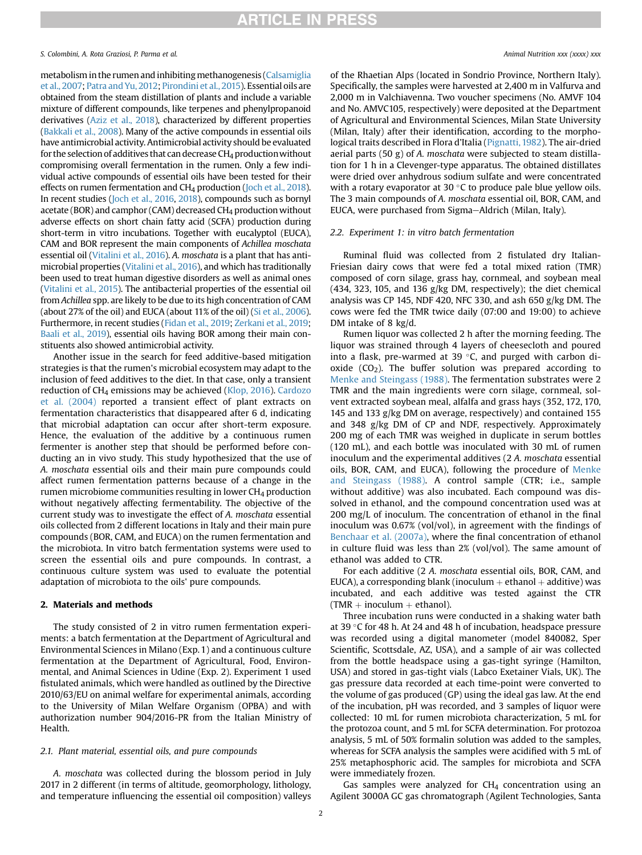metabolism in the rumen and inhibiting methanogenesis [\(Calsamiglia](#page-6-1) [et al., 2007](#page-6-1); [Patra and Yu, 2012](#page-7-0); [Pirondini et al., 2015](#page-7-1)). Essential oils are obtained from the steam distillation of plants and include a variable mixture of different compounds, like terpenes and phenylpropanoid derivatives ([Aziz et al., 2018\)](#page-6-2), characterized by different properties ([Bakkali et al., 2008\)](#page-6-3). Many of the active compounds in essential oils have antimicrobial activity. Antimicrobial activity should be evaluated for the selection of additives that can decrease  $CH_4$  production without compromising overall fermentation in the rumen. Only a few individual active compounds of essential oils have been tested for their effects on rumen fermentation and CH4 production [\(Joch et al., 2018\)](#page-6-4). In recent studies [\(Joch et al., 2016](#page-6-5), [2018](#page-6-4)), compounds such as bornyl acetate (BOR) and camphor (CAM) decreased CH<sub>4</sub> production without adverse effects on short chain fatty acid (SCFA) production during short-term in vitro incubations. Together with eucalyptol (EUCA), CAM and BOR represent the main components of Achillea moschata essential oil ([Vitalini et al., 2016](#page-7-2)). A. moschata is a plant that has antimicrobial properties [\(Vitalini et al., 2016\)](#page-7-2), and which has traditionally been used to treat human digestive disorders as well as animal ones ([Vitalini et al., 2015](#page-7-3)). The antibacterial properties of the essential oil from Achillea spp. are likely to be due to its high concentration of CAM (about 27% of the oil) and EUCA (about 11% of the oil) ([Si et al., 2006\)](#page-7-4). Furthermore, in recent studies ([Fidan et al., 2019](#page-6-6); [Zerkani et al., 2019;](#page-7-5) [Baali et al., 2019](#page-6-7)), essential oils having BOR among their main constituents also showed antimicrobial activity.

Another issue in the search for feed additive-based mitigation strategies is that the rumen's microbial ecosystem may adapt to the inclusion of feed additives to the diet. In that case, only a transient reduction of CH4 emissions may be achieved [\(Klop, 2016\)](#page-6-8). [Cardozo](#page-6-9) [et al. \(2004\)](#page-6-9) reported a transient effect of plant extracts on fermentation characteristics that disappeared after 6 d, indicating that microbial adaptation can occur after short-term exposure. Hence, the evaluation of the additive by a continuous rumen fermenter is another step that should be performed before conducting an in vivo study. This study hypothesized that the use of A. moschata essential oils and their main pure compounds could affect rumen fermentation patterns because of a change in the rumen microbiome communities resulting in lower  $CH<sub>4</sub>$  production without negatively affecting fermentability. The objective of the current study was to investigate the effect of A. moschata essential oils collected from 2 different locations in Italy and their main pure compounds (BOR, CAM, and EUCA) on the rumen fermentation and the microbiota. In vitro batch fermentation systems were used to screen the essential oils and pure compounds. In contrast, a continuous culture system was used to evaluate the potential adaptation of microbiota to the oils' pure compounds.

### 2. Materials and methods

The study consisted of 2 in vitro rumen fermentation experiments: a batch fermentation at the Department of Agricultural and Environmental Sciences in Milano (Exp. 1) and a continuous culture fermentation at the Department of Agricultural, Food, Environmental, and Animal Sciences in Udine (Exp. 2). Experiment 1 used fistulated animals, which were handled as outlined by the Directive 2010/63/EU on animal welfare for experimental animals, according to the University of Milan Welfare Organism (OPBA) and with authorization number 904/2016-PR from the Italian Ministry of Health.

#### 2.1. Plant material, essential oils, and pure compounds

A. moschata was collected during the blossom period in July 2017 in 2 different (in terms of altitude, geomorphology, lithology, and temperature influencing the essential oil composition) valleys of the Rhaetian Alps (located in Sondrio Province, Northern Italy). Specifically, the samples were harvested at 2,400 m in Valfurva and 2,000 m in Valchiavenna. Two voucher specimens (No. AMVF 104 and No. AMVC105, respectively) were deposited at the Department of Agricultural and Environmental Sciences, Milan State University (Milan, Italy) after their identification, according to the morphological traits described in Flora d'Italia ([Pignatti, 1982\)](#page-7-6). The air-dried aerial parts (50 g) of A. moschata were subjected to steam distillation for 1 h in a Clevenger-type apparatus. The obtained distillates were dried over anhydrous sodium sulfate and were concentrated with a rotary evaporator at 30  $\degree$ C to produce pale blue yellow oils. The 3 main compounds of A. moschata essential oil, BOR, CAM, and EUCA, were purchased from Sigma-Aldrich (Milan, Italy).

#### 2.2. Experiment 1: in vitro batch fermentation

Ruminal fluid was collected from 2 fistulated dry Italian-Friesian dairy cows that were fed a total mixed ration (TMR) composed of corn silage, grass hay, cornmeal, and soybean meal (434, 323, 105, and 136 g/kg DM, respectively); the diet chemical analysis was CP 145, NDF 420, NFC 330, and ash 650 g/kg DM. The cows were fed the TMR twice daily (07:00 and 19:00) to achieve DM intake of 8 kg/d.

Rumen liquor was collected 2 h after the morning feeding. The liquor was strained through 4 layers of cheesecloth and poured into a flask, pre-warmed at 39  $\degree$ C, and purged with carbon dioxide  $(CO<sub>2</sub>)$ . The buffer solution was prepared according to [Menke and Steingass \(1988\)](#page-6-10). The fermentation substrates were 2 TMR and the main ingredients were corn silage, cornmeal, solvent extracted soybean meal, alfalfa and grass hays (352, 172, 170, 145 and 133 g/kg DM on average, respectively) and contained 155 and 348 g/kg DM of CP and NDF, respectively. Approximately 200 mg of each TMR was weighed in duplicate in serum bottles (120 mL), and each bottle was inoculated with 30 mL of rumen inoculum and the experimental additives (2 A. moschata essential oils, BOR, CAM, and EUCA), following the procedure of [Menke](#page-6-10) [and Steingass \(1988\).](#page-6-10) A control sample (CTR; i.e., sample without additive) was also incubated. Each compound was dissolved in ethanol, and the compound concentration used was at 200 mg/L of inoculum. The concentration of ethanol in the final inoculum was 0.67% (vol/vol), in agreement with the findings of [Benchaar et al. \(2007a\)](#page-6-11), where the final concentration of ethanol in culture fluid was less than 2% (vol/vol). The same amount of ethanol was added to CTR.

For each additive (2 A. moschata essential oils, BOR, CAM, and EUCA), a corresponding blank (inoculum  $+$  ethanol  $+$  additive) was incubated, and each additive was tested against the CTR  $(TMR + inoculum + ethanol).$ 

Three incubation runs were conducted in a shaking water bath at 39  $\degree$ C for 48 h. At 24 and 48 h of incubation, headspace pressure was recorded using a digital manometer (model 840082, Sper Scientific, Scottsdale, AZ, USA), and a sample of air was collected from the bottle headspace using a gas-tight syringe (Hamilton, USA) and stored in gas-tight vials (Labco Exetainer Vials, UK). The gas pressure data recorded at each time-point were converted to the volume of gas produced (GP) using the ideal gas law. At the end of the incubation, pH was recorded, and 3 samples of liquor were collected: 10 mL for rumen microbiota characterization, 5 mL for the protozoa count, and 5 mL for SCFA determination. For protozoa analysis, 5 mL of 50% formalin solution was added to the samples, whereas for SCFA analysis the samples were acidified with 5 mL of 25% metaphosphoric acid. The samples for microbiota and SCFA were immediately frozen.

Gas samples were analyzed for  $CH<sub>4</sub>$  concentration using an Agilent 3000A GC gas chromatograph (Agilent Technologies, Santa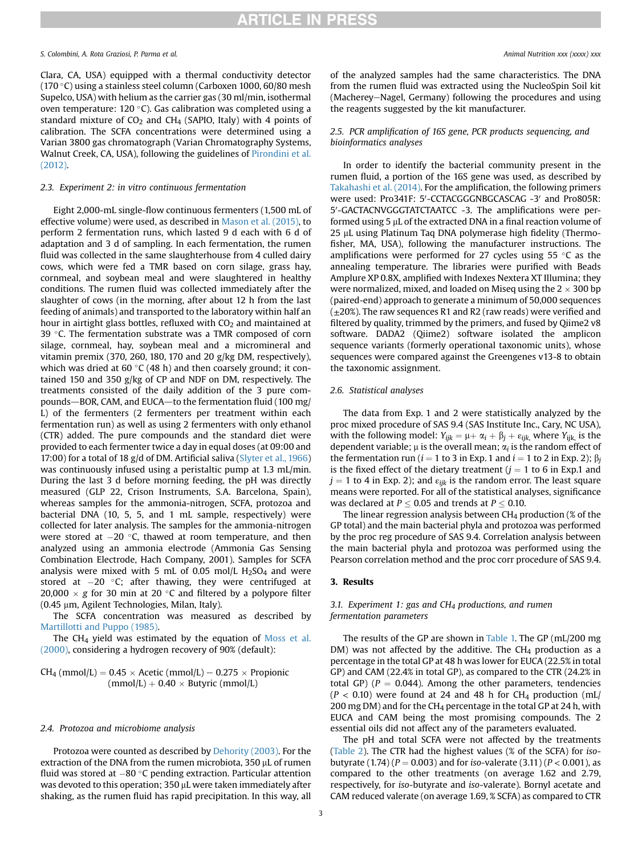Clara, CA, USA) equipped with a thermal conductivity detector (170 °C) using a stainless steel column (Carboxen 1000, 60/80 mesh Supelco, USA) with helium as the carrier gas (30 ml/min, isothermal oven temperature: 120 °C). Gas calibration was completed using a standard mixture of  $CO<sub>2</sub>$  and  $CH<sub>4</sub>$  (SAPIO, Italy) with 4 points of calibration. The SCFA concentrations were determined using a Varian 3800 gas chromatograph (Varian Chromatography Systems, Walnut Creek, CA, USA), following the guidelines of [Pirondini et al.](#page-7-7) [\(2012\)](#page-7-7).

#### 2.3. Experiment 2: in vitro continuous fermentation

Eight 2,000-mL single-flow continuous fermenters (1,500 mL of effective volume) were used, as described in [Mason et al. \(2015\)](#page-6-12), to perform 2 fermentation runs, which lasted 9 d each with 6 d of adaptation and 3 d of sampling. In each fermentation, the rumen fluid was collected in the same slaughterhouse from 4 culled dairy cows, which were fed a TMR based on corn silage, grass hay, cornmeal, and soybean meal and were slaughtered in healthy conditions. The rumen fluid was collected immediately after the slaughter of cows (in the morning, after about 12 h from the last feeding of animals) and transported to the laboratory within half an hour in airtight glass bottles, refluxed with  $CO<sub>2</sub>$  and maintained at 39 °C. The fermentation substrate was a TMR composed of corn silage, cornmeal, hay, soybean meal and a micromineral and vitamin premix (370, 260, 180, 170 and 20 g/kg DM, respectively), which was dried at 60 °C (48 h) and then coarsely ground; it contained 150 and 350 g/kg of CP and NDF on DM, respectively. The treatments consisted of the daily addition of the 3 pure compounds-BOR, CAM, and EUCA-to the fermentation fluid (100 mg/ L) of the fermenters (2 fermenters per treatment within each fermentation run) as well as using 2 fermenters with only ethanol (CTR) added. The pure compounds and the standard diet were provided to each fermenter twice a day in equal doses (at 09:00 and 17:00) for a total of 18 g/d of DM. Artificial saliva [\(Slyter et al., 1966\)](#page-7-8) was continuously infused using a peristaltic pump at 1.3 mL/min. During the last 3 d before morning feeding, the pH was directly measured (GLP 22, Crison Instruments, S.A. Barcelona, Spain), whereas samples for the ammonia-nitrogen, SCFA, protozoa and bacterial DNA (10, 5, 5, and 1 mL sample, respectively) were collected for later analysis. The samples for the ammonia-nitrogen were stored at  $-20$  °C, thawed at room temperature, and then analyzed using an ammonia electrode (Ammonia Gas Sensing Combination Electrode, Hach Company, 2001). Samples for SCFA analysis were mixed with 5 mL of 0.05 mol/L  $H<sub>2</sub>SO<sub>4</sub>$  and were stored at  $-20$  °C; after thawing, they were centrifuged at  $20,000 \times g$  for 30 min at 20 °C and filtered by a polypore filter (0.45 μm, Agilent Technologies, Milan, Italy).

The SCFA concentration was measured as described by [Martillotti and Puppo \(1985\)](#page-6-13).

The CH4 yield was estimated by the equation of [Moss et al.](#page-6-14) [\(2000\)](#page-6-14), considering a hydrogen recovery of 90% (default):

$$
CH_4 (mmol/L) = 0.45 \times Acetic (mmol/L) - 0.275 \times Propionic(mmol/L) + 0.40 \times Butyric (mmol/L)
$$

#### 2.4. Protozoa and microbiome analysis

Protozoa were counted as described by [Dehority \(2003\)](#page-6-15). For the extraction of the DNA from the rumen microbiota, 350 µL of rumen fluid was stored at  $-80$  °C pending extraction. Particular attention was devoted to this operation;  $350 \mu$ L were taken immediately after shaking, as the rumen fluid has rapid precipitation. In this way, all

of the analyzed samples had the same characteristics. The DNA from the rumen fluid was extracted using the NucleoSpin Soil kit (Macherey-Nagel, Germany) following the procedures and using the reagents suggested by the kit manufacturer.

#### 2.5. PCR amplification of 16S gene, PCR products sequencing, and bioinformatics analyses

In order to identify the bacterial community present in the rumen fluid, a portion of the 16S gene was used, as described by [Takahashi et al. \(2014\)](#page-7-9). For the amplification, the following primers were used: Pro341F: 5'-CCTACGGGNBGCASCAG -3' and Pro805R: 5'-GACTACNVGGGTATCTAATCC -3. The amplifications were performed using 5  $\mu$ L of the extracted DNA in a final reaction volume of 25 µL using Platinum Taq DNA polymerase high fidelity (Thermofisher, MA, USA), following the manufacturer instructions. The amplifications were performed for 27 cycles using 55  $\degree$ C as the annealing temperature. The libraries were purified with Beads Amplure XP 0.8X, amplified with Indexes Nextera XT Illumina; they were normalized, mixed, and loaded on Miseq using the  $2 \times 300$  bp (paired-end) approach to generate a minimum of 50,000 sequences  $(\pm 20\%)$ . The raw sequences R1 and R2 (raw reads) were verified and filtered by quality, trimmed by the primers, and fused by Qiime2 v8 software. DADA2 (Qiime2) software isolated the amplicon sequence variants (formerly operational taxonomic units), whose sequences were compared against the Greengenes v13-8 to obtain the taxonomic assignment.

#### 2.6. Statistical analyses

The data from Exp. 1 and 2 were statistically analyzed by the proc mixed procedure of SAS 9.4 (SAS Institute Inc., Cary, NC USA), with the following model:  $Y_{ijk} = \mu + \alpha_i + \beta_i + \varepsilon_{ijk}$ , where  $Y_{ijk}$  is the dependent variable;  $\mu$  is the overall mean;  $\alpha_i$  is the random effect of the fermentation run ( $i = 1$  to 3 in Exp. 1 and  $i = 1$  to 2 in Exp. 2);  $\beta_i$ is the fixed effect of the dietary treatment ( $j = 1$  to 6 in Exp.1 and  $j = 1$  to 4 in Exp. 2); and  $\varepsilon_{ijk}$  is the random error. The least square means were reported. For all of the statistical analyses, significance was declared at  $P \le 0.05$  and trends at  $P \le 0.10$ .

The linear regression analysis between  $CH_4$  production (% of the GP total) and the main bacterial phyla and protozoa was performed by the proc reg procedure of SAS 9.4. Correlation analysis between the main bacterial phyla and protozoa was performed using the Pearson correlation method and the proc corr procedure of SAS 9.4.

#### 3. Results

### 3.1. Experiment 1: gas and CH<sub>4</sub> productions, and rumen fermentation parameters

The results of the GP are shown in [Table 1.](#page-3-0) The GP (mL/200 mg  $DM$ ) was not affected by the additive. The CH<sub>4</sub> production as a percentage in the total GP at 48 h was lower for EUCA (22.5% in total GP) and CAM (22.4% in total GP), as compared to the CTR (24.2% in total GP) ( $P = 0.044$ ). Among the other parameters, tendencies  $(P < 0.10)$  were found at 24 and 48 h for CH<sub>4</sub> production (mL/ 200 mg DM) and for the CH<sub>4</sub> percentage in the total GP at 24 h, with EUCA and CAM being the most promising compounds. The 2 essential oils did not affect any of the parameters evaluated.

The pH and total SCFA were not affected by the treatments ([Table 2](#page-3-1)). The CTR had the highest values (% of the SCFA) for isobutyrate  $(1.74)$   $(P = 0.003)$  and for iso-valerate  $(3.11)$   $(P < 0.001)$ , as compared to the other treatments (on average 1.62 and 2.79, respectively, for iso-butyrate and iso-valerate). Bornyl acetate and CAM reduced valerate (on average 1.69, % SCFA) as compared to CTR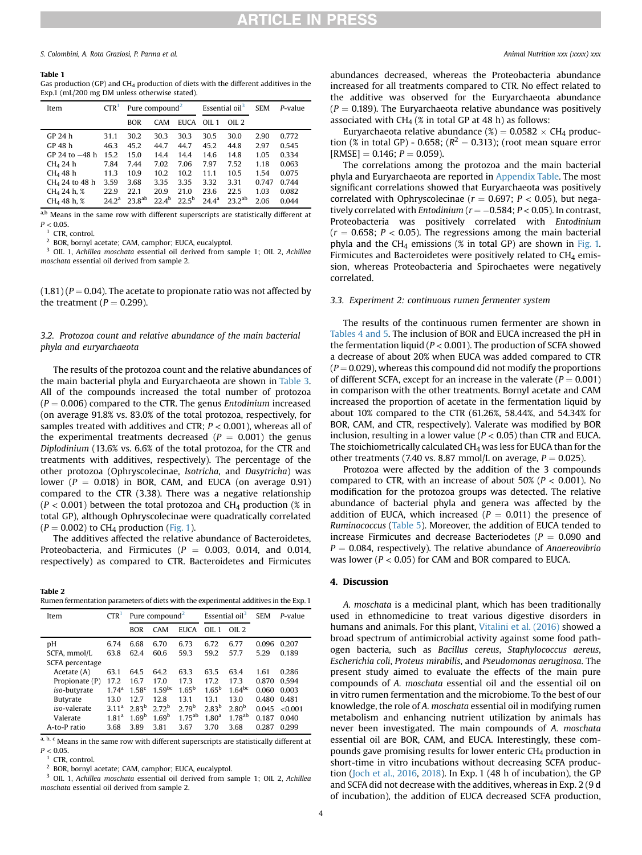#### <span id="page-3-0"></span>Table 1

Gas production (GP) and  $CH_4$  production of diets with the different additives in the Exp.1 (mL/200 mg DM unless otherwise stated).

| Item                       | CTR <sup>1</sup>  | Pure compound <sup>2</sup> |                |                | Essential oil <sup>3</sup> |            | <b>SEM</b> | P-value |
|----------------------------|-------------------|----------------------------|----------------|----------------|----------------------------|------------|------------|---------|
|                            |                   | <b>BOR</b>                 | CAM            | <b>EUCA</b>    | OII.1                      | OII.2      |            |         |
| GP 24 h                    | 31.1              | 30.2                       | 30.3           | 30.3           | 30.5                       | 30.0       | 2.90       | 0.772   |
| GP 48 h                    | 46.3              | 45.2                       | 44.7           | 44.7           | 45.2                       | 44.8       | 2.97       | 0.545   |
| $GP$ 24 to $-48$ h         | 15.2              | 15.0                       | 14.4           | 14.4           | 14.6                       | 14.8       | 1.05       | 0.334   |
| CH <sub>4</sub> 24 h       | 7.84              | 7.44                       | 7.02           | 7.06           | 7.97                       | 7.52       | 1.18       | 0.063   |
| $CH4$ 48 h                 | 11.3              | 10.9                       | 10.2           | 10.2           | 11.1                       | 10.5       | 1.54       | 0.075   |
| CH <sub>4</sub> 24 to 48 h | 3.59              | 3.68                       | 3.35           | 3.35           | 3.32                       | 3.31       | 0.747      | 0.744   |
| CH <sub>4</sub> 24 h, %    | 22.9              | 22.1                       | 20.9           | 21.0           | 23.6                       | 22.5       | 1.03       | 0.082   |
| $CH4$ 48 h, %              | 24.2 <sup>a</sup> | $23g$ <sup>ab</sup>        | $22.4^{\rm b}$ | $22.5^{\rm b}$ | $244^{\rm a}$              | $232^{ab}$ | 2.06       | 0.044   |

a,b Means in the same row with different superscripts are statistically different at  $P < 0.05$ .

<span id="page-3-2"></span>CTR, control.

<span id="page-3-3"></span><sup>2</sup> BOR, bornyl acetate; CAM, camphor; EUCA, eucalyptol.

<span id="page-3-4"></span><sup>3</sup> OIL 1, Achillea moschata essential oil derived from sample 1; OIL 2, Achillea moschata essential oil derived from sample 2.

 $(1.81)$  ( $P = 0.04$ ). The acetate to propionate ratio was not affected by the treatment ( $P = 0.299$ ).

#### 3.2. Protozoa count and relative abundance of the main bacterial phyla and euryarchaeota

The results of the protozoa count and the relative abundances of the main bacterial phyla and Euryarchaeota are shown in [Table 3.](#page-4-0) All of the compounds increased the total number of protozoa  $(P = 0.006)$  compared to the CTR. The genus Entodinium increased (on average 91.8% vs. 83.0% of the total protozoa, respectively, for samples treated with additives and CTR;  $P < 0.001$ ), whereas all of the experimental treatments decreased ( $P = 0.001$ ) the genus Diplodinium (13.6% vs. 6.6% of the total protozoa, for the CTR and treatments with additives, respectively). The percentage of the other protozoa (Ophryscolecinae, Isotricha, and Dasytricha) was lower ( $P = 0.018$ ) in BOR, CAM, and EUCA (on average 0.91) compared to the CTR (3.38). There was a negative relationship  $(P < 0.001)$  between the total protozoa and CH<sub>4</sub> production (% in total GP), although Ophryscolecinae were quadratically correlated  $(P = 0.002)$  to CH<sub>4</sub> production [\(Fig. 1\)](#page-4-1).

The additives affected the relative abundance of Bacteroidetes, Proteobacteria, and Firmicutes ( $P = 0.003$ , 0.014, and 0.014, respectively) as compared to CTR. Bacteroidetes and Firmicutes

<span id="page-3-1"></span>Table 2 Rumen fermentation parameters of diets with the experimental additives in the Exp. 1

| CTR <sup>1</sup>  | Pure compound <sup>2</sup> |                   | Essential oil <sup>3</sup> |                   | <b>SEM</b>        | P-value |        |
|-------------------|----------------------------|-------------------|----------------------------|-------------------|-------------------|---------|--------|
|                   | <b>BOR</b>                 | <b>CAM</b>        | <b>EUCA</b>                | OII.1             | OII.2             |         |        |
| 6.74              | 6.68                       | 6.70              | 6.73                       | 6.72              | 6.77              | 0.096   | 0.207  |
| 63.8              | 62.4                       | 60.6              | 59.3                       | 59.2              | 57.7              | 5.29    | 0.189  |
|                   |                            |                   |                            |                   |                   |         |        |
| 63.1              | 64.5                       | 64.2              | 63.3                       | 63.5              | 63.4              | 1.61    | 0.286  |
| 17.2              | 16.7                       | 17.0              | 17.3                       | 17.2              | 173               | 0.870   | 0.594  |
| 1.74 <sup>a</sup> | $1.58^{c}$                 |                   | $1.65^{\rm b}$             | $1.65^{\rm b}$    | $1.64^{bc}$       | 0.060   | 0.003  |
| 13.0              | 12.7                       | 12.8              | 13.1                       | 13.1              | 13.0              | 0.480   | 0.481  |
| 311 <sup>a</sup>  | 2.83 <sup>b</sup>          | 2.72 <sup>b</sup> | 2.79 <sup>b</sup>          | 2.83 <sup>b</sup> | 2.80 <sup>b</sup> | 0.045   | <0.001 |
| 1.81 <sup>a</sup> | 1.69 <sup>b</sup>          | 1.69 <sup>b</sup> | $1.75^{ab}$                | 1.80 <sup>a</sup> | $1.78^{ab}$       | 0.187   | 0.040  |
| 3.68              | 3.89                       | 3.81              | 3.67                       | 3.70              | 3.68              | 0.287   | 0.299  |
|                   |                            |                   | $1.59$ <sup>bc</sup>       |                   |                   |         |        |

a, b, c Means in the same row with different superscripts are statistically different at  $P < 0.05$ 

<span id="page-3-5"></span>CTR, control.

<span id="page-3-6"></span><sup>2</sup> BOR, bornyl acetate; CAM, camphor; EUCA, eucalyptol.

<span id="page-3-7"></span><sup>3</sup> OIL 1, Achillea moschata essential oil derived from sample 1; OIL 2, Achillea moschata essential oil derived from sample 2.

abundances decreased, whereas the Proteobacteria abundance increased for all treatments compared to CTR. No effect related to the additive was observed for the Euryarchaeota abundance  $(P = 0.189)$ . The Euryarchaeota relative abundance was positively associated with CH<sub>4</sub> (% in total GP at 48 h) as follows:

Euryarchaeota relative abundance (%) =  $0.0582 \times CH_4$  production (% in total GP) - 0.658; ( $R^2 = 0.313$ ); (root mean square error  $[RMSE] = 0.146$ ;  $P = 0.059$ ).

The correlations among the protozoa and the main bacterial phyla and Euryarchaeota are reported in Appendix Table. The most significant correlations showed that Euryarchaeota was positively correlated with Ophryscolecinae ( $r = 0.697$ ;  $P < 0.05$ ), but negatively correlated with *Entodinium* ( $r = -0.584$ ;  $P < 0.05$ ). In contrast, Proteobacteria was positively correlated with Entodinium  $(r = 0.658; P < 0.05)$ . The regressions among the main bacterial phyla and the CH<sub>4</sub> emissions (% in total GP) are shown in [Fig. 1.](#page-4-1) Firmicutes and Bacteroidetes were positively related to  $CH<sub>4</sub>$  emission, whereas Proteobacteria and Spirochaetes were negatively correlated.

#### 3.3. Experiment 2: continuous rumen fermenter system

The results of the continuous rumen fermenter are shown in [Tables 4 and 5](#page-4-2). The inclusion of BOR and EUCA increased the pH in the fermentation liquid ( $P < 0.001$ ). The production of SCFA showed a decrease of about 20% when EUCA was added compared to CTR  $(P = 0.029)$ , whereas this compound did not modify the proportions of different SCFA, except for an increase in the valerate ( $P = 0.001$ ) in comparison with the other treatments. Bornyl acetate and CAM increased the proportion of acetate in the fermentation liquid by about 10% compared to the CTR (61.26%, 58.44%, and 54.34% for BOR, CAM, and CTR, respectively). Valerate was modified by BOR inclusion, resulting in a lower value ( $P < 0.05$ ) than CTR and EUCA. The stoichiometrically calculated  $CH<sub>4</sub>$  was less for EUCA than for the other treatments (7.40 vs. 8.87 mmol/L on average,  $P = 0.025$ ).

Protozoa were affected by the addition of the 3 compounds compared to CTR, with an increase of about  $50\%$  ( $P < 0.001$ ). No modification for the protozoa groups was detected. The relative abundance of bacterial phyla and genera was affected by the addition of EUCA, which increased ( $P = 0.011$ ) the presence of Ruminococcus ([Table 5](#page-5-0)). Moreover, the addition of EUCA tended to increase Firmicutes and decrease Bacteriodetes ( $P = 0.090$  and  $P = 0.084$ , respectively). The relative abundance of Anaereovibrio was lower ( $P < 0.05$ ) for CAM and BOR compared to EUCA.

#### 4. Discussion

A. moschata is a medicinal plant, which has been traditionally used in ethnomedicine to treat various digestive disorders in humans and animals. For this plant, [Vitalini et al. \(2016\)](#page-7-2) showed a broad spectrum of antimicrobial activity against some food pathogen bacteria, such as Bacillus cereus, Staphylococcus aereus, Escherichia coli, Proteus mirabilis, and Pseudomonas aeruginosa. The present study aimed to evaluate the effects of the main pure compounds of A. moschata essential oil and the essential oil on in vitro rumen fermentation and the microbiome. To the best of our knowledge, the role of A. moschata essential oil in modifying rumen metabolism and enhancing nutrient utilization by animals has never been investigated. The main compounds of A. moschata essential oil are BOR, CAM, and EUCA. Interestingly, these compounds gave promising results for lower enteric CH4 production in short-time in vitro incubations without decreasing SCFA production [\(Joch et al., 2016,](#page-6-5) [2018](#page-6-4)). In Exp. 1 (48 h of incubation), the GP and SCFA did not decrease with the additives, whereas in Exp. 2 (9 d of incubation), the addition of EUCA decreased SCFA production,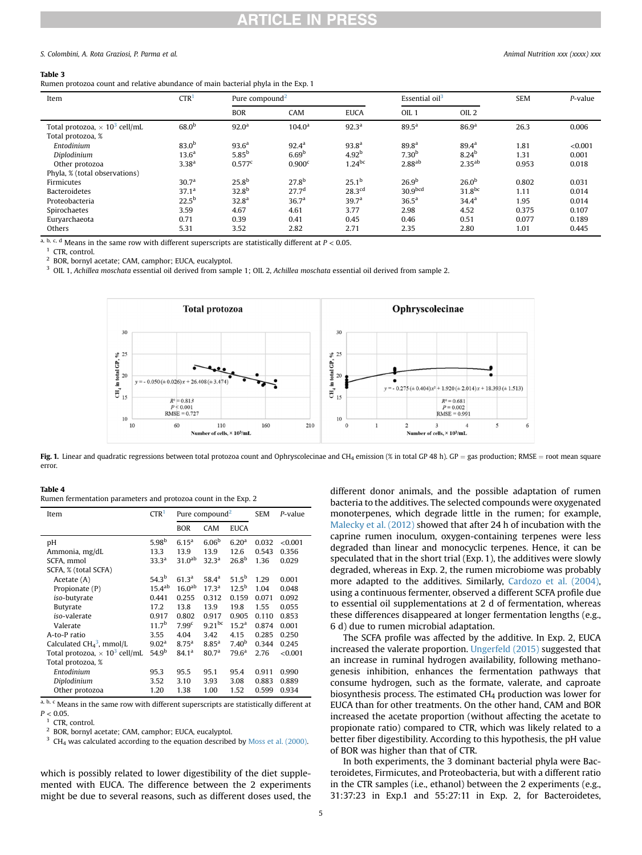# **ARTICLE IN PRESS**

#### S. Colombini, A. Rota Graziosi, P. Parma et al. Animal Nutrition xxx (xxxx) xxx

#### <span id="page-4-0"></span>Table 3

| Rumen protozoa count and relative abundance of main bacterial phyla in the Exp. 1 |  |  |
|-----------------------------------------------------------------------------------|--|--|
|-----------------------------------------------------------------------------------|--|--|

| Item                                                                  | CTR <sup>1</sup>  | Pure compound <sup>2</sup> |                    | Essential oil <sup>3</sup> |                     | <b>SEM</b>         | P-value |         |
|-----------------------------------------------------------------------|-------------------|----------------------------|--------------------|----------------------------|---------------------|--------------------|---------|---------|
|                                                                       |                   | <b>BOR</b>                 | CAM                | <b>EUCA</b>                | OIL <sub>1</sub>    | OIL <sub>2</sub>   |         |         |
| Total protozoa, $\times$ 10 <sup>3</sup> cell/mL<br>Total protozoa, % | 68.0 <sup>b</sup> | 92.0 <sup>a</sup>          | 104.0 <sup>a</sup> | 92.3 <sup>a</sup>          | $89.5^{\rm a}$      | 86.9 <sup>a</sup>  | 26.3    | 0.006   |
| Entodinium                                                            | 83.0 <sup>b</sup> | 93.6 <sup>a</sup>          | $92.4^{\rm a}$     | 93.8 <sup>a</sup>          | 89.8 <sup>a</sup>   | $89.4^{\rm a}$     | 1.81    | < 0.001 |
| Diplodinium                                                           | 13.6 <sup>a</sup> | $5.85^{\rm b}$             | 6.69 <sup>b</sup>  | 4.92 <sup>b</sup>          | 7.30 <sup>b</sup>   | 8.24 <sup>b</sup>  | 1.31    | 0.001   |
| Other protozoa                                                        | 3.38 <sup>a</sup> | $0.577^c$                  | 0.900 <sup>c</sup> | $1.24$ bc                  | 2.88 <sup>ab</sup>  | $2.35^{ab}$        | 0.953   | 0.018   |
| Phyla, % (total observations)                                         |                   |                            |                    |                            |                     |                    |         |         |
| Firmicutes                                                            | 30.7 <sup>a</sup> | 25.8 <sup>b</sup>          | 27.8 <sup>b</sup>  | $25.1^{\rm b}$             | 26.9 <sup>b</sup>   | 26.0 <sup>b</sup>  | 0.802   | 0.031   |
| <b>Bacteroidetes</b>                                                  | 37.1 <sup>a</sup> | 32.8 <sup>b</sup>          | 27.7 <sup>d</sup>  | $28.3$ <sup>cd</sup>       | 30.9 <sub>bcd</sub> | 31.8 <sup>bc</sup> | 1.11    | 0.014   |
| Proteobacteria                                                        | $22.5^{\rm b}$    | 32.8 <sup>a</sup>          | 36.7 <sup>a</sup>  | 39.7 <sup>a</sup>          | 36.5 <sup>a</sup>   | $34.4^{\rm a}$     | 1.95    | 0.014   |
| Spirochaetes                                                          | 3.59              | 4.67                       | 4.61               | 3.77                       | 2.98                | 4.52               | 0.375   | 0.107   |
| Eurvarchaeota                                                         | 0.71              | 0.39                       | 0.41               | 0.45                       | 0.46                | 0.51               | 0.077   | 0.189   |
| Others                                                                | 5.31              | 3.52                       | 2.82               | 2.71                       | 2.35                | 2.80               | 1.01    | 0.445   |

a, b, c, d Means in the same row with different superscripts are statistically different at  $P < 0.05$ .

<span id="page-4-3"></span> $1$  CTR control.

<span id="page-4-4"></span><sup>2</sup> BOR, bornyl acetate; CAM, camphor; EUCA, eucalyptol.

<span id="page-4-5"></span><span id="page-4-1"></span><sup>3</sup> OIL 1, Achillea moschata essential oil derived from sample 1; OIL 2, Achillea moschata essential oil derived from sample 2.



Fig. 1. Linear and quadratic regressions between total protozoa count and Ophryscolecinae and CH<sub>4</sub> emission (% in total GP 48 h). GP = gas production; RMSE = root mean square error.

<span id="page-4-2"></span>

| ш<br>. .<br>л. |  |
|----------------|--|
|----------------|--|

Rumen fermentation parameters and protozoa count in the Exp. 2

| Item                                             | $\mathsf{CTR}^1$  | Pure compound <sup>2</sup> |                   |                   | <b>SEM</b> | P-value |
|--------------------------------------------------|-------------------|----------------------------|-------------------|-------------------|------------|---------|
|                                                  |                   | <b>BOR</b>                 | CAM               | <b>EUCA</b>       |            |         |
| рH                                               | 5.98 <sup>b</sup> | 6.15 <sup>a</sup>          | 6.06 <sup>b</sup> | 6.20 <sup>a</sup> | 0.032      | < 0.001 |
| Ammonia, mg/dL                                   | 13.3              | 13.9                       | 13.9              | 12.6              | 0.543      | 0.356   |
| SCFA, mmol                                       | 33.3 <sup>a</sup> | 31.0 <sup>ab</sup>         | 32.3 <sup>a</sup> | 26.8 <sup>b</sup> | 1.36       | 0.029   |
| SCFA, % (total SCFA)                             |                   |                            |                   |                   |            |         |
| Acetate (A)                                      | 54.3 <sup>b</sup> | 61.3 <sup>a</sup>          | $58.4^{\rm a}$    | $51.5^{b}$        | 1.29       | 0.001   |
| Propionate (P)                                   | $15.4^{ab}$       | 16.0 <sup>ab</sup>         | $17.3^{\rm a}$    | $12.5^{\rm b}$    | 1.04       | 0.048   |
| iso-butyrate                                     | 0.441             | 0.255                      | 0.312             | 0.159             | 0.071      | 0.092   |
| <b>Butyrate</b>                                  | 17.2              | 13.8                       | 13.9              | 19.8              | 1.55       | 0.055   |
| iso-valerate                                     | 0.917             | 0.802                      | 0.917             | 0.905             | 0.110      | 0.853   |
| Valerate                                         | 11.7 <sup>b</sup> | 7.99 <sup>c</sup>          | $9.21^{bc}$       | 15.2 <sup>a</sup> | 0.874      | 0.001   |
| A-to-P ratio                                     | 3.55              | 4.04                       | 3.42              | 4.15              | 0.285      | 0.250   |
| Calculated $CH43$ , mmol/L                       | 9.02 <sup>a</sup> | 8.75 <sup>a</sup>          | $8.85^{a}$        | 7.40 <sup>b</sup> | 0.344      | 0.245   |
| Total protozoa, $\times$ 10 <sup>3</sup> cell/mL | 54.9 <sup>b</sup> | 84.1 <sup>a</sup>          | 80.7 <sup>a</sup> | $79.6^{\rm a}$    | 2.76       | < 0.001 |
| Total protozoa, %                                |                   |                            |                   |                   |            |         |
| Entodinium                                       | 95.3              | 95.5                       | 95.1              | 95.4              | 0.911      | 0.990   |
| Diplodinium                                      | 3.52              | 3.10                       | 3.93              | 3.08              | 0.883      | 0.889   |
| Other protozoa                                   | 1.20              | 1.38                       | 1.00              | 1.52              | 0.599      | 0.934   |

 $\overline{a}$ , b, c Means in the same row with different superscripts are statistically different at  $P < 0.05$ .

<span id="page-4-6"></span>CTR, control.

<span id="page-4-7"></span><sup>2</sup> BOR, bornyl acetate; CAM, camphor; EUCA, eucalyptol.

<span id="page-4-8"></span> $3$  CH<sub>4</sub> was calculated according to the equation described by [Moss et al. \(2000\).](#page-6-14)

which is possibly related to lower digestibility of the diet supplemented with EUCA. The difference between the 2 experiments might be due to several reasons, such as different doses used, the

different donor animals, and the possible adaptation of rumen bacteria to the additives. The selected compounds were oxygenated monoterpenes, which degrade little in the rumen; for example, [Malecky et al. \(2012\)](#page-6-16) showed that after 24 h of incubation with the caprine rumen inoculum, oxygen-containing terpenes were less degraded than linear and monocyclic terpenes. Hence, it can be speculated that in the short trial (Exp. 1), the additives were slowly degraded, whereas in Exp. 2, the rumen microbiome was probably more adapted to the additives. Similarly, [Cardozo et al. \(2004\),](#page-6-9) using a continuous fermenter, observed a different SCFA profile due to essential oil supplementations at 2 d of fermentation, whereas these differences disappeared at longer fermentation lengths (e.g., 6 d) due to rumen microbial adaptation.

The SCFA profile was affected by the additive. In Exp. 2, EUCA increased the valerate proportion. [Ungerfeld \(2015\)](#page-7-10) suggested that an increase in ruminal hydrogen availability, following methanogenesis inhibition, enhances the fermentation pathways that consume hydrogen, such as the formate, valerate, and caproate biosynthesis process. The estimated  $CH<sub>4</sub>$  production was lower for EUCA than for other treatments. On the other hand, CAM and BOR increased the acetate proportion (without affecting the acetate to propionate ratio) compared to CTR, which was likely related to a better fiber digestibility. According to this hypothesis, the pH value of BOR was higher than that of CTR.

In both experiments, the 3 dominant bacterial phyla were Bacteroidetes, Firmicutes, and Proteobacteria, but with a different ratio in the CTR samples (i.e., ethanol) between the 2 experiments (e.g., 31:37:23 in Exp.1 and 55:27:11 in Exp. 2, for Bacteroidetes,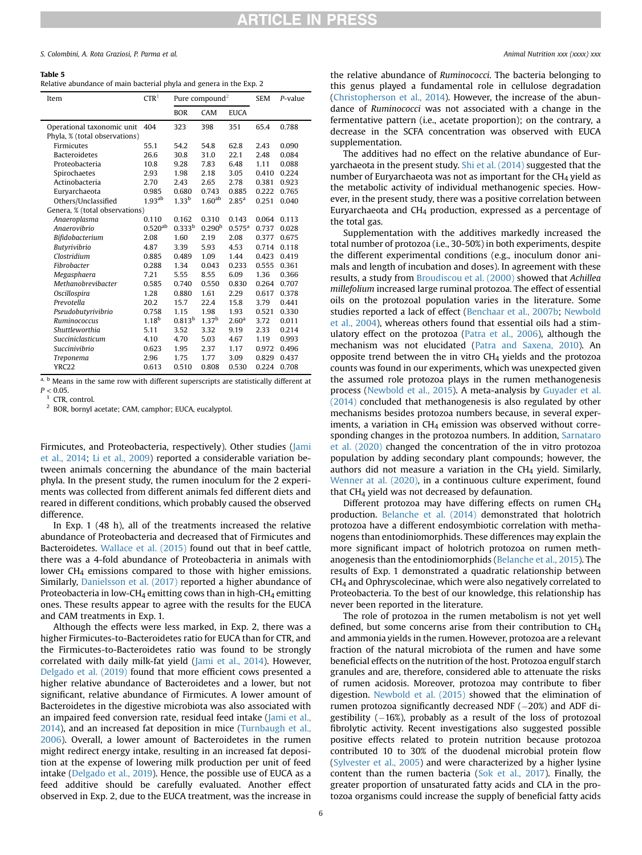#### <span id="page-5-0"></span>Table 5

| Relative abundance of main bacterial phyla and genera in the Exp. 2 |  |  |  |
|---------------------------------------------------------------------|--|--|--|
|---------------------------------------------------------------------|--|--|--|

| Item                                                        | CTR <sup>1</sup>  | Pure compound <sup>2</sup> |                    |                   | <b>SEM</b> | P-value |
|-------------------------------------------------------------|-------------------|----------------------------|--------------------|-------------------|------------|---------|
|                                                             |                   | <b>BOR</b>                 | CAM                | <b>EUCA</b>       |            |         |
| Operational taxonomic unit<br>Phyla, % (total observations) | 404               | 323                        | 398                | 351               | 65.4       | 0.788   |
| Firmicutes                                                  | 55.1              | 54.2                       | 54.8               | 62.8              | 2.43       | 0.090   |
| <b>Bacteroidetes</b>                                        | 26.6              | 30.8                       | 31.0               | 22.1              | 2.48       | 0.084   |
| Proteobacteria                                              | 10.8              | 9.28                       | 7.83               | 6.48              | 1.11       | 0.088   |
| Spirochaetes                                                | 2.93              | 1.98                       | 2.18               | 3.05              | 0.410      | 0.224   |
| Actinobacteria                                              | 2.70              | 2.43                       | 2.65               | 2.78              | 0.381      | 0.923   |
| Eurvarchaeota                                               | 0.985             | 0.680                      | 0.743              | 0.885             | 0.222      | 0.765   |
| Others/Unclassified                                         | $1.93^{ab}$       | $1.33^{b}$                 | 1.60 <sup>ab</sup> | $2.85^{a}$        | 0.251      | 0.040   |
| Genera, % (total observations)                              |                   |                            |                    |                   |            |         |
| Anaeroplasma                                                | 0.110             | 0.162                      | 0.310              | 0.143             | 0.064      | 0.113   |
| Anaerovibrio                                                | $0.520^{ab}$      | 0.333 <sup>b</sup>         | 0.290 <sup>b</sup> | $0.575^{\rm a}$   | 0.737      | 0.028   |
| Bifidobacterium                                             | 2.08              | 1.60                       | 2.19               | 2.08              | 0.377      | 0.675   |
| Butyrivibrio                                                | 4.87              | 3.39                       | 5.93               | 4.53              | 0.714      | 0.118   |
| Clostridium                                                 | 0.885             | 0.489                      | 1.09               | 1.44              | 0.423      | 0.419   |
| Fibrobacter                                                 | 0.288             | 1.34                       | 0.043              | 0.233             | 0.555      | 0.361   |
| Megasphaera                                                 | 7.21              | 5.55                       | 8.55               | 6.09              | 1.36       | 0.366   |
| Methanobrevibacter                                          | 0.585             | 0.740                      | 0.550              | 0.830             | 0.264      | 0.707   |
| Oscillospira                                                | 1.28              | 0.880                      | 1.61               | 2.29              | 0.617      | 0.378   |
| Prevotella                                                  | 20.2              | 15.7                       | 22.4               | 15.8              | 3.79       | 0.441   |
| Pseudobutyrivibrio                                          | 0.758             | 1.15                       | 1.98               | 1.93              | 0.521      | 0.330   |
| Ruminococcus                                                | 1.18 <sup>b</sup> | 0.813 <sup>b</sup>         | 1.37 <sup>b</sup>  | 2.60 <sup>a</sup> | 3.72       | 0.011   |
| Shuttleworthia                                              | 5.11              | 3.52                       | 3.32               | 9.19              | 2.33       | 0.214   |
| Succiniclasticum                                            | 4.10              | 4.70                       | 5.03               | 4.67              | 1.19       | 0.993   |
| Succinivibrio                                               | 0.623             | 1.95                       | 2.37               | 1.17              | 0.972      | 0.496   |
| Treponema                                                   | 2.96              | 1.75                       | 1.77               | 3.09              | 0.829      | 0.437   |
| <b>YRC22</b>                                                | 0.613             | 0.510                      | 0.808              | 0.530             | 0.224      | 0.708   |
|                                                             |                   |                            |                    |                   |            |         |

a, b Means in the same row with different superscripts are statistically different at  $P < 0.05$ .

<span id="page-5-1"></span><sup>1</sup> CTR, control.

<span id="page-5-2"></span><sup>2</sup> BOR, bornyl acetate; CAM, camphor; EUCA, eucalyptol.

Firmicutes, and Proteobacteria, respectively). Other studies ([Jami](#page-6-17) [et al., 2014;](#page-6-17) [Li et al., 2009](#page-6-18)) reported a considerable variation between animals concerning the abundance of the main bacterial phyla. In the present study, the rumen inoculum for the 2 experiments was collected from different animals fed different diets and reared in different conditions, which probably caused the observed difference.

In Exp. 1 (48 h), all of the treatments increased the relative abundance of Proteobacteria and decreased that of Firmicutes and Bacteroidetes. [Wallace et al. \(2015\)](#page-7-11) found out that in beef cattle, there was a 4-fold abundance of Proteobacteria in animals with lower CH<sub>4</sub> emissions compared to those with higher emissions. Similarly, [Danielsson et al. \(2017\)](#page-6-19) reported a higher abundance of Proteobacteria in low-CH<sub>4</sub> emitting cows than in high-CH<sub>4</sub> emitting ones. These results appear to agree with the results for the EUCA and CAM treatments in Exp. 1.

Although the effects were less marked, in Exp. 2, there was a higher Firmicutes-to-Bacteroidetes ratio for EUCA than for CTR, and the Firmicutes-to-Bacteroidetes ratio was found to be strongly correlated with daily milk-fat yield [\(Jami et al., 2014\)](#page-6-17). However, [Delgado et al. \(2019\)](#page-6-20) found that more efficient cows presented a higher relative abundance of Bacteroidetes and a lower, but not significant, relative abundance of Firmicutes. A lower amount of Bacteroidetes in the digestive microbiota was also associated with an impaired feed conversion rate, residual feed intake ([Jami et al.,](#page-6-17) [2014\)](#page-6-17), and an increased fat deposition in mice ([Turnbaugh et al.,](#page-7-12) [2006\)](#page-7-12). Overall, a lower amount of Bacteroidetes in the rumen might redirect energy intake, resulting in an increased fat deposition at the expense of lowering milk production per unit of feed intake ([Delgado et al., 2019](#page-6-20)). Hence, the possible use of EUCA as a feed additive should be carefully evaluated. Another effect observed in Exp. 2, due to the EUCA treatment, was the increase in

the relative abundance of Ruminococci. The bacteria belonging to this genus played a fundamental role in cellulose degradation ([Christopherson et al., 2014\)](#page-6-21). However, the increase of the abundance of Ruminococci was not associated with a change in the fermentative pattern (i.e., acetate proportion); on the contrary, a decrease in the SCFA concentration was observed with EUCA supplementation.

The additives had no effect on the relative abundance of Euryarchaeota in the present study. [Shi et al. \(2014\)](#page-7-13) suggested that the number of Euryarchaeota was not as important for the  $CH<sub>4</sub>$  yield as the metabolic activity of individual methanogenic species. However, in the present study, there was a positive correlation between Euryarchaeota and  $CH<sub>4</sub>$  production, expressed as a percentage of the total gas.

Supplementation with the additives markedly increased the total number of protozoa (i.e., 30-50%) in both experiments, despite the different experimental conditions (e.g., inoculum donor animals and length of incubation and doses). In agreement with these results, a study from [Broudiscou et al. \(2000\)](#page-6-22) showed that Achillea millefolium increased large ruminal protozoa. The effect of essential oils on the protozoal population varies in the literature. Some studies reported a lack of effect [\(Benchaar et al., 2007b](#page-6-23); [Newbold](#page-6-24) [et al., 2004](#page-6-24)), whereas others found that essential oils had a stimulatory effect on the protozoa [\(Patra et al., 2006](#page-6-25)), although the mechanism was not elucidated ([Patra and Saxena, 2010\)](#page-7-14). An opposite trend between the in vitro  $CH<sub>4</sub>$  yields and the protozoa counts was found in our experiments, which was unexpected given the assumed role protozoa plays in the rumen methanogenesis process ([Newbold et al., 2015\)](#page-6-26). A meta-analysis by [Guyader et al.](#page-6-27) [\(2014\)](#page-6-27) concluded that methanogenesis is also regulated by other mechanisms besides protozoa numbers because, in several experiments, a variation in CH<sub>4</sub> emission was observed without corresponding changes in the protozoa numbers. In addition, [Sarnataro](#page-7-15) [et al. \(2020\)](#page-7-15) changed the concentration of the in vitro protozoa population by adding secondary plant compounds; however, the authors did not measure a variation in the  $CH<sub>4</sub>$  yield. Similarly, [Wenner at al. \(2020\),](#page-7-16) in a continuous culture experiment, found that CH4 yield was not decreased by defaunation.

Different protozoa may have differing effects on rumen CH4 production. [Belanche et al. \(2014\)](#page-6-28) demonstrated that holotrich protozoa have a different endosymbiotic correlation with methanogens than entodiniomorphids. These differences may explain the more significant impact of holotrich protozoa on rumen methanogenesis than the entodiniomorphids [\(Belanche et al., 2015\)](#page-6-29). The results of Exp. 1 demonstrated a quadratic relationship between CH4 and Ophryscolecinae, which were also negatively correlated to Proteobacteria. To the best of our knowledge, this relationship has never been reported in the literature.

The role of protozoa in the rumen metabolism is not yet well defined, but some concerns arise from their contribution to CH4 and ammonia yields in the rumen. However, protozoa are a relevant fraction of the natural microbiota of the rumen and have some beneficial effects on the nutrition of the host. Protozoa engulf starch granules and are, therefore, considered able to attenuate the risks of rumen acidosis. Moreover, protozoa may contribute to fiber digestion. [Newbold et al. \(2015\)](#page-6-26) showed that the elimination of rumen protozoa significantly decreased NDF  $(-20%)$  and ADF digestibility  $(-16%)$ , probably as a result of the loss of protozoal fibrolytic activity. Recent investigations also suggested possible positive effects related to protein nutrition because protozoa contributed 10 to 30% of the duodenal microbial protein flow ([Sylvester et al., 2005\)](#page-7-17) and were characterized by a higher lysine content than the rumen bacteria ([Sok et al., 2017\)](#page-7-18). Finally, the greater proportion of unsaturated fatty acids and CLA in the protozoa organisms could increase the supply of beneficial fatty acids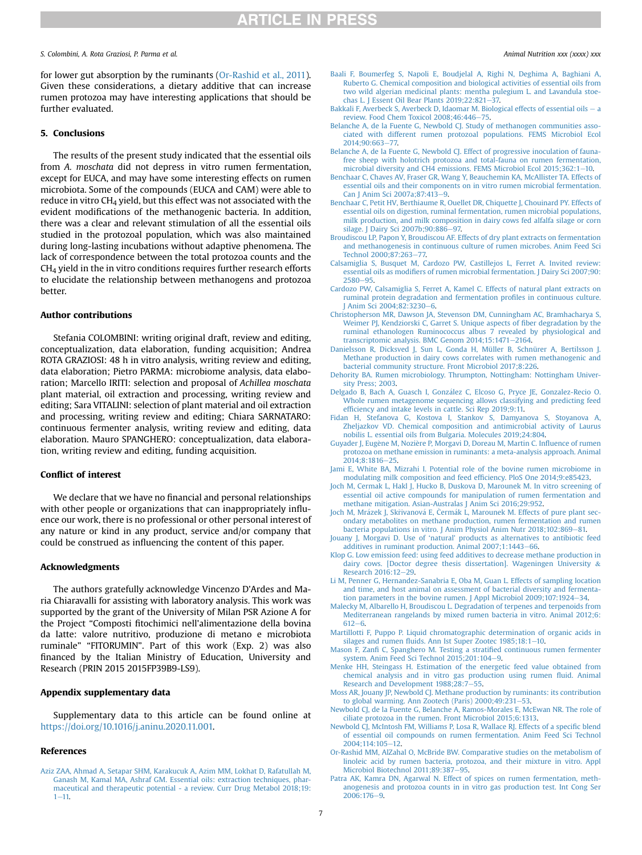for lower gut absorption by the ruminants [\(Or-Rashid et al., 2011\)](#page-6-30). Given these considerations, a dietary additive that can increase rumen protozoa may have interesting applications that should be further evaluated.

#### 5. Conclusions

The results of the present study indicated that the essential oils from A. moschata did not depress in vitro rumen fermentation, except for EUCA, and may have some interesting effects on rumen microbiota. Some of the compounds (EUCA and CAM) were able to reduce in vitro  $CH<sub>4</sub>$  yield, but this effect was not associated with the evident modifications of the methanogenic bacteria. In addition, there was a clear and relevant stimulation of all the essential oils studied in the protozoal population, which was also maintained during long-lasting incubations without adaptive phenomena. The lack of correspondence between the total protozoa counts and the  $CH<sub>4</sub>$  yield in the in vitro conditions requires further research efforts to elucidate the relationship between methanogens and protozoa better.

#### Author contributions

Stefania COLOMBINI: writing original draft, review and editing, conceptualization, data elaboration, funding acquisition; Andrea ROTA GRAZIOSI: 48 h in vitro analysis, writing review and editing, data elaboration; Pietro PARMA: microbiome analysis, data elaboration; Marcello IRITI: selection and proposal of Achillea moschata plant material, oil extraction and processing, writing review and editing; Sara VITALINI: selection of plant material and oil extraction and processing, writing review and editing; Chiara SARNATARO: continuous fermenter analysis, writing review and editing, data elaboration. Mauro SPANGHERO: conceptualization, data elaboration, writing review and editing, funding acquisition.

#### Conflict of interest

We declare that we have no financial and personal relationships with other people or organizations that can inappropriately influence our work, there is no professional or other personal interest of any nature or kind in any product, service and/or company that could be construed as influencing the content of this paper.

#### Acknowledgments

The authors gratefully acknowledge Vincenzo D'Ardes and Maria Chiaravalli for assisting with laboratory analysis. This work was supported by the grant of the University of Milan PSR Azione A for the Project "Composti fitochimici nell'alimentazione della bovina da latte: valore nutritivo, produzione di metano e microbiota ruminale" "FITORUMIN". Part of this work (Exp. 2) was also financed by the Italian Ministry of Education, University and Research (PRIN 2015 2015FP39B9-LS9).

#### Appendix supplementary data

Supplementary data to this article can be found online at [https://doi.org/10.1016/j.aninu.2020.11.001.](https://doi.org/10.1016/j.aninu.2020.11.001)

#### <span id="page-6-2"></span>References

[Aziz ZAA, Ahmad A, Setapar SHM, Karakucuk A, Azim MM, Lokhat D, Rafatullah M,](http://refhub.elsevier.com/S2405-6545(20)30124-4/sref1) [Ganash M, Kamal MA, Ashraf GM. Essential oils: extraction techniques, phar](http://refhub.elsevier.com/S2405-6545(20)30124-4/sref1)[maceutical and therapeutic potential - a review. Curr Drug Metabol 2018;19:](http://refhub.elsevier.com/S2405-6545(20)30124-4/sref1)  $1 - 11$  $1 - 11$ .

- <span id="page-6-7"></span>[Baali F, Boumerfeg S, Napoli E, Boudjelal A, Righi N, Deghima A, Baghiani A,](http://refhub.elsevier.com/S2405-6545(20)30124-4/sref2) [Ruberto G. Chemical composition and biological activities of essential oils from](http://refhub.elsevier.com/S2405-6545(20)30124-4/sref2) [two wild algerian medicinal plants: mentha pulegium L. and Lavandula stoe](http://refhub.elsevier.com/S2405-6545(20)30124-4/sref2)chas L. J Essent Oil Bear Plants  $2019;22:821-\overline{37}$ .
- <span id="page-6-3"></span>[Bakkali F, Averbeck S, Averbeck D, Idaomar M. Biological effects of essential oils](http://refhub.elsevier.com/S2405-6545(20)30124-4/sref3)  $-$  [a](http://refhub.elsevier.com/S2405-6545(20)30124-4/sref3) [review. Food Chem Toxicol 2008;46:446](http://refhub.elsevier.com/S2405-6545(20)30124-4/sref3)-[75](http://refhub.elsevier.com/S2405-6545(20)30124-4/sref3).
- <span id="page-6-28"></span>[Belanche A, de la Fuente G, Newbold CJ. Study of methanogen communities asso](http://refhub.elsevier.com/S2405-6545(20)30124-4/sref4)[ciated with different rumen protozoal populations. FEMS Microbiol Ecol](http://refhub.elsevier.com/S2405-6545(20)30124-4/sref4) 2014:90:663-[77.](http://refhub.elsevier.com/S2405-6545(20)30124-4/sref4)
- <span id="page-6-29"></span>[Belanche A, de la Fuente G, Newbold CJ. Effect of progressive inoculation of fauna](http://refhub.elsevier.com/S2405-6545(20)30124-4/sref5)[free sheep with holotrich protozoa and total-fauna on rumen fermentation,](http://refhub.elsevier.com/S2405-6545(20)30124-4/sref5) [microbial diversity and CH4 emissions. FEMS Microbiol Ecol 2015;362:1](http://refhub.elsevier.com/S2405-6545(20)30124-4/sref5)-[10](http://refhub.elsevier.com/S2405-6545(20)30124-4/sref5).
- <span id="page-6-11"></span>[Benchaar C, Chaves AV, Fraser GR, Wang Y, Beauchemin KA, McAllister TA. Effects of](http://refhub.elsevier.com/S2405-6545(20)30124-4/sref6) [essential oils and their components on in vitro rumen microbial fermentation.](http://refhub.elsevier.com/S2405-6545(20)30124-4/sref6) Can I Anim Sci 2007a: 87:413-[9](http://refhub.elsevier.com/S2405-6545(20)30124-4/sref6).
- <span id="page-6-23"></span>[Benchaar C, Petit HV, Berthiaume R, Ouellet DR, Chiquette J, Chouinard PY. Effects of](http://refhub.elsevier.com/S2405-6545(20)30124-4/sref7) essential oils on digestion, ruminal fermentation, rumen microbial populations [milk production, and milk composition in dairy cows fed alfalfa silage or corn](http://refhub.elsevier.com/S2405-6545(20)30124-4/sref7) silage. J Dairy Sci 2007b:90:886-[97.](http://refhub.elsevier.com/S2405-6545(20)30124-4/sref7)
- <span id="page-6-22"></span>[Broudiscou LP, Papon Y, Broudiscou AF. Effects of dry plant extracts on fermentation](http://refhub.elsevier.com/S2405-6545(20)30124-4/sref8) [and methanogenesis in continuous culture of rumen microbes. Anim Feed Sci](http://refhub.elsevier.com/S2405-6545(20)30124-4/sref8) Technol 2000:87:263-[77.](http://refhub.elsevier.com/S2405-6545(20)30124-4/sref8)
- <span id="page-6-1"></span>[Calsamiglia S, Busquet M, Cardozo PW, Castillejos L, Ferret A. Invited review:](http://refhub.elsevier.com/S2405-6545(20)30124-4/sref9) essential oils as modifi[ers of rumen microbial fermentation. J Dairy Sci 2007;90:](http://refhub.elsevier.com/S2405-6545(20)30124-4/sref9) [2580](http://refhub.elsevier.com/S2405-6545(20)30124-4/sref9)-[95](http://refhub.elsevier.com/S2405-6545(20)30124-4/sref9)
- <span id="page-6-9"></span>[Cardozo PW, Calsamiglia S, Ferret A, Kamel C. Effects of natural plant extracts on](http://refhub.elsevier.com/S2405-6545(20)30124-4/sref10) [ruminal protein degradation and fermentation pro](http://refhub.elsevier.com/S2405-6545(20)30124-4/sref10)files in continuous culture. J Anim Sci  $2004.82.3230 - 6$
- <span id="page-6-21"></span>[Christopherson MR, Dawson JA, Stevenson DM, Cunningham AC, Bramhacharya S,](http://refhub.elsevier.com/S2405-6545(20)30124-4/sref11) [Weimer PJ, Kendziorski C, Garret S. Unique aspects of](http://refhub.elsevier.com/S2405-6545(20)30124-4/sref11) fiber degradation by the [ruminal ethanologen Ruminococcus albus 7 revealed by physiological and](http://refhub.elsevier.com/S2405-6545(20)30124-4/sref11) [transcriptomic analysis. BMC Genom 2014;15:1471](http://refhub.elsevier.com/S2405-6545(20)30124-4/sref11)-[2164.](http://refhub.elsevier.com/S2405-6545(20)30124-4/sref11)
- <span id="page-6-19"></span>[Danielsson R, Dicksved J, Sun L, Gonda H, Müller B, Schnürer A, Bertilsson J.](http://refhub.elsevier.com/S2405-6545(20)30124-4/sref12) [Methane production in dairy cows correlates with rumen methanogenic and](http://refhub.elsevier.com/S2405-6545(20)30124-4/sref12) [bacterial community structure. Front Microbiol 2017;8:226](http://refhub.elsevier.com/S2405-6545(20)30124-4/sref12).
- <span id="page-6-15"></span>[Dehority BA. Rumen microbiology. Thrumpton, Nottingham: Nottingham Univer](http://refhub.elsevier.com/S2405-6545(20)30124-4/sref13)[sity Press; 2003](http://refhub.elsevier.com/S2405-6545(20)30124-4/sref13).
- <span id="page-6-20"></span>[Delgado B, Bach A, Guasch I, Gonz](http://refhub.elsevier.com/S2405-6545(20)30124-4/sref14)ález C, Elcoso G, Pryce JE, Gonzalez-Recio O. [Whole rumen metagenome sequencing allows classifying and predicting feed](http://refhub.elsevier.com/S2405-6545(20)30124-4/sref14) effi[ciency and intake levels in cattle. Sci Rep 2019;9:11.](http://refhub.elsevier.com/S2405-6545(20)30124-4/sref14)
- <span id="page-6-6"></span>[Fidan H, Stefanova G, Kostova I, Stankov S, Damyanova S, Stoyanova A,](http://refhub.elsevier.com/S2405-6545(20)30124-4/sref15) [Zheljazkov VD. Chemical composition and antimicrobial activity of Laurus](http://refhub.elsevier.com/S2405-6545(20)30124-4/sref15) [nobilis L. essential oils from Bulgaria. Molecules 2019;24:804](http://refhub.elsevier.com/S2405-6545(20)30124-4/sref15).
- <span id="page-6-27"></span>[Guyader J, Eug](http://refhub.elsevier.com/S2405-6545(20)30124-4/sref16)è[ne M, Nozi](http://refhub.elsevier.com/S2405-6545(20)30124-4/sref16)ère P, Morgavi D, Doreau M, Martin C. Influence of rumen [protozoa on methane emission in ruminants: a meta-analysis approach. Animal](http://refhub.elsevier.com/S2405-6545(20)30124-4/sref16) 2014:8:1816-[25](http://refhub.elsevier.com/S2405-6545(20)30124-4/sref16)
- <span id="page-6-17"></span>[Jami E, White BA, Mizrahi I. Potential role of the bovine rumen microbiome in](http://refhub.elsevier.com/S2405-6545(20)30124-4/sref17) [modulating milk composition and feed ef](http://refhub.elsevier.com/S2405-6545(20)30124-4/sref17)ficiency. PloS One 2014;9:e85423.
- <span id="page-6-5"></span>[Joch M, Cermak L, Hakl J, Hucko B, Duskova D, Marounek M. In vitro screening of](http://refhub.elsevier.com/S2405-6545(20)30124-4/sref18) [essential oil active compounds for manipulation of rumen fermentation and](http://refhub.elsevier.com/S2405-6545(20)30124-4/sref18) [methane mitigation. Asian-Australas J Anim Sci 2016;29:952](http://refhub.elsevier.com/S2405-6545(20)30124-4/sref18).
- <span id="page-6-4"></span>[Joch M, Mr](http://refhub.elsevier.com/S2405-6545(20)30124-4/sref19)á[zek J, Sk](http://refhub.elsevier.com/S2405-6545(20)30124-4/sref19)řivanová E, Čermá[k L, Marounek M. Effects of pure plant sec](http://refhub.elsevier.com/S2405-6545(20)30124-4/sref19) [ondary metabolites on methane production, rumen fermentation and rumen](http://refhub.elsevier.com/S2405-6545(20)30124-4/sref19) [bacteria populations in vitro. J Anim Physiol Anim Nutr 2018;102:869](http://refhub.elsevier.com/S2405-6545(20)30124-4/sref19)-[81.](http://refhub.elsevier.com/S2405-6545(20)30124-4/sref19)
- <span id="page-6-0"></span>Jouany J, Morgavi D. Use of 'natural' [products as alternatives to antibiotic feed](http://refhub.elsevier.com/S2405-6545(20)30124-4/sref20) [additives in ruminant production. Animal 2007;1:1443](http://refhub.elsevier.com/S2405-6545(20)30124-4/sref20)-[66](http://refhub.elsevier.com/S2405-6545(20)30124-4/sref20).
- <span id="page-6-8"></span>[Klop G. Low emission feed: using feed additives to decrease methane production in](http://refhub.elsevier.com/S2405-6545(20)30124-4/sref21) [dairy cows. \[Doctor degree thesis dissertation\]. Wageningen University](http://refhub.elsevier.com/S2405-6545(20)30124-4/sref21) & [Research 2016:12](http://refhub.elsevier.com/S2405-6545(20)30124-4/sref21)-[29](http://refhub.elsevier.com/S2405-6545(20)30124-4/sref21).
- <span id="page-6-18"></span>[Li M, Penner G, Hernandez-Sanabria E, Oba M, Guan L. Effects of sampling location](http://refhub.elsevier.com/S2405-6545(20)30124-4/sref22) [and time, and host animal on assessment of bacterial diversity and fermenta](http://refhub.elsevier.com/S2405-6545(20)30124-4/sref22)[tion parameters in the bovine rumen. J Appl Microbiol 2009;107:1924](http://refhub.elsevier.com/S2405-6545(20)30124-4/sref22)-[34](http://refhub.elsevier.com/S2405-6545(20)30124-4/sref22).
- <span id="page-6-16"></span>[Malecky M, Albarello H, Broudiscou L. Degradation of terpenes and terpenoids from](http://refhub.elsevier.com/S2405-6545(20)30124-4/sref23) [Mediterranean rangelands by mixed rumen bacteria in vitro. Animal 2012;6:](http://refhub.elsevier.com/S2405-6545(20)30124-4/sref23)  $612 - 6$  $612 - 6$  $612 - 6$ .
- <span id="page-6-13"></span>[Martillotti F, Puppo P. Liquid chromatographic determination of organic acids in](http://refhub.elsevier.com/S2405-6545(20)30124-4/sref24) silages and rumen fl[uids. Ann Ist Super Zootec 1985;18:1](http://refhub.elsevier.com/S2405-6545(20)30124-4/sref24)-[10.](http://refhub.elsevier.com/S2405-6545(20)30124-4/sref24)
- <span id="page-6-12"></span>Mason F, Zanfi C, Spanghero M. Testing a stratifi[ed continuous rumen fermenter](http://refhub.elsevier.com/S2405-6545(20)30124-4/sref25) [system. Anim Feed Sci Technol 2015;201:104](http://refhub.elsevier.com/S2405-6545(20)30124-4/sref25)-[9.](http://refhub.elsevier.com/S2405-6545(20)30124-4/sref25)
- <span id="page-6-10"></span>[Menke HH, Steingass H. Estimation of the energetic feed value obtained from](http://refhub.elsevier.com/S2405-6545(20)30124-4/sref26) [chemical analysis and in vitro gas production using rumen](http://refhub.elsevier.com/S2405-6545(20)30124-4/sref26) fluid. Animal [Research and Development 1988;28:7](http://refhub.elsevier.com/S2405-6545(20)30124-4/sref26)-[55](http://refhub.elsevier.com/S2405-6545(20)30124-4/sref26).
- <span id="page-6-14"></span>[Moss AR, Jouany JP, Newbold CJ. Methane production by ruminants: its contribution](http://refhub.elsevier.com/S2405-6545(20)30124-4/sref27) [to global warming. Ann Zootech \(Paris\) 2000;49:231](http://refhub.elsevier.com/S2405-6545(20)30124-4/sref27)-[53.](http://refhub.elsevier.com/S2405-6545(20)30124-4/sref27)
- <span id="page-6-26"></span>[Newbold CJ, de la Fuente G, Belanche A, Ramos-Morales E, McEwan NR. The role of](http://refhub.elsevier.com/S2405-6545(20)30124-4/sref28) [ciliate protozoa in the rumen. Front Microbiol 2015;6:1313](http://refhub.elsevier.com/S2405-6545(20)30124-4/sref28).
- <span id="page-6-24"></span>[Newbold CJ, McIntosh FM, Williams P, Losa R, Wallace RJ. Effects of a speci](http://refhub.elsevier.com/S2405-6545(20)30124-4/sref29)fic blend [of essential oil compounds on rumen fermentation. Anim Feed Sci Technol](http://refhub.elsevier.com/S2405-6545(20)30124-4/sref29) [2004;114:105](http://refhub.elsevier.com/S2405-6545(20)30124-4/sref29)-[12.](http://refhub.elsevier.com/S2405-6545(20)30124-4/sref29)
- <span id="page-6-30"></span>[Or-Rashid MM, AlZahal O, McBride BW. Comparative studies on the metabolism of](http://refhub.elsevier.com/S2405-6545(20)30124-4/sref30) [linoleic acid by rumen bacteria, protozoa, and their mixture in vitro. Appl](http://refhub.elsevier.com/S2405-6545(20)30124-4/sref30) [Microbiol Biotechnol 2011;89:387](http://refhub.elsevier.com/S2405-6545(20)30124-4/sref30)-[95](http://refhub.elsevier.com/S2405-6545(20)30124-4/sref30).
- <span id="page-6-25"></span>[Patra AK, Kamra DN, Agarwal N. Effect of spices on rumen fermentation, meth](http://refhub.elsevier.com/S2405-6545(20)30124-4/sref31)[anogenesis and protozoa counts in in vitro gas production test. Int Cong Ser](http://refhub.elsevier.com/S2405-6545(20)30124-4/sref31)  $2006:176-9.$  $2006:176-9.$  $2006:176-9.$